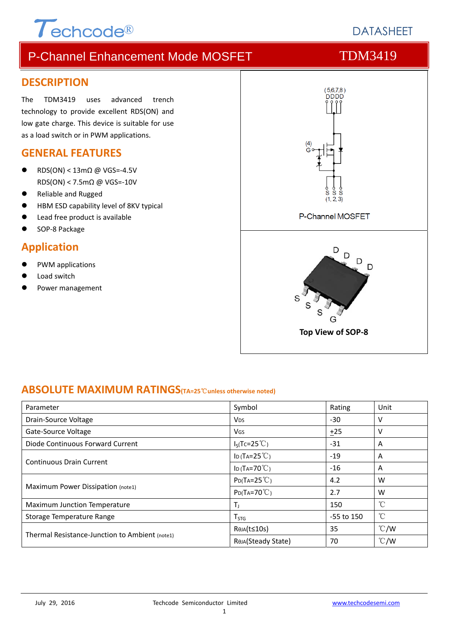# P-Channel Enhancement Mode MOSFET TDM3419

### **DESCRIPTION**

The TDM3419 uses advanced trench technology to provide excellent RDS(ON) and low gate charge. This device is suitable for use as a load switch or in PWM applications.

 $\tau$ echcode®

### **GENERAL FEATURES**

- RDS(ON) < 13mΩ @ VGS=‐4.5V RDS(ON) < 7.5mΩ @ VGS=‐10V
- Reliable and Rugged
- HBM ESD capability level of 8KV typical
- Lead free product is available
- SOP‐8 Package

### **Application**

- PWM applications
- Load switch
- Power management



### **ABSOLUTE MAXIMUM RATINGS(TA=25**℃**unless otherwise noted)**

| Parameter                                      | Symbol                      | Rating     | Unit          |
|------------------------------------------------|-----------------------------|------------|---------------|
| Drain-Source Voltage                           | <b>V<sub>DS</sub></b>       | $-30$      | v             |
| Gate-Source Voltage                            | Vgs                         | ±25        | v             |
| Diode Continuous Forward Current               | $I_S(Tc=25^{\circ}C)$       | -31        | A             |
|                                                | ID (TA= $25^{\circ}$ C)     | $-19$      | A             |
| <b>Continuous Drain Current</b>                | ID (TA=70 $°C$ )            | $-16$      | A             |
|                                                | $P_{D}(Ta=25^{\circ}C)$     | 4.2        | W             |
| Maximum Power Dissipation (note1)              | $P_{D}(Ta=70^{\circ}C)$     | 2.7        | W             |
| Maximum Junction Temperature                   | T,                          | 150        | °C            |
| Storage Temperature Range                      | $\mathsf{T}_{\mathsf{STG}}$ | -55 to 150 | $^{\circ}$ C  |
|                                                | ReJA(t≤10s)                 | 35         | $\degree$ C/W |
| Thermal Resistance-Junction to Ambient (note1) | Reja(Steady State)          | 70         | $\degree$ C/W |

1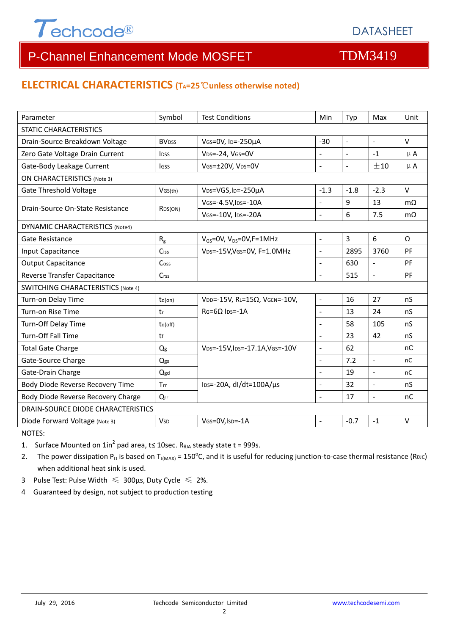

# P-Channel Enhancement Mode MOSFET TOM3419

### **ELECTRICAL CHARACTERISTICS (TA=25**℃**unless otherwise noted)**

| Parameter                                 | Symbol                  | <b>Test Conditions</b>                       | Min                      | Typ            | Max                      | Unit      |  |  |
|-------------------------------------------|-------------------------|----------------------------------------------|--------------------------|----------------|--------------------------|-----------|--|--|
| <b>STATIC CHARACTERISTICS</b>             |                         |                                              |                          |                |                          |           |  |  |
| Drain-Source Breakdown Voltage            | <b>BV<sub>DSS</sub></b> | $-30$<br>VGS=0V, ID=-250µA                   |                          | $\mathbf{r}$   | $\overline{\phantom{a}}$ | $\vee$    |  |  |
| Zero Gate Voltage Drain Current           | <b>IDSS</b>             | VDS=-24, VGS=0V                              | $\overline{a}$           | $\overline{a}$ | $-1$                     | $\mu$ A   |  |  |
| Gate-Body Leakage Current                 | lgss                    | VGS=±20V, VDS=0V                             |                          | $\Box$         | ±10                      | $\mu$ A   |  |  |
| <b>ON CHARACTERISTICS (Note 3)</b>        |                         |                                              |                          |                |                          |           |  |  |
| <b>Gate Threshold Voltage</b>             | VGS(th)                 | V <sub>DS</sub> =VGS, I <sub>D</sub> =-250µA | $-1.3$                   | $-1.8$         | $-2.3$                   | $\vee$    |  |  |
| Drain-Source On-State Resistance          |                         | VGS=-4.5V, IDS=-10A                          | L.                       | 9              | 13                       | $m\Omega$ |  |  |
|                                           | R <sub>DS</sub> (ON)    | VGS=-10V, IDS=-20A                           | $\overline{a}$           | 6              | 7.5                      | $m\Omega$ |  |  |
| DYNAMIC CHARACTERISTICS (Note4)           |                         |                                              |                          |                |                          |           |  |  |
| Gate Resistance                           | $R_{g}$                 | $V_{GS}$ =0V, V <sub>DS</sub> =0V, F=1MHz    | $\blacksquare$           | 3              | 6                        | Ω         |  |  |
| Input Capacitance                         | <b>Ciss</b>             | VDS=-15V, VGS=0V, F=1.0MHz                   | $\Box$                   | 2895           | 3760                     | PF        |  |  |
| <b>Output Capacitance</b>                 | Coss                    |                                              | $\overline{a}$           | 630            | $\blacksquare$           | PF        |  |  |
| Reverse Transfer Capacitance              | Crss                    |                                              | L.                       | 515            | $\overline{\phantom{a}}$ | PF        |  |  |
| <b>SWITCHING CHARACTERISTICS (Note 4)</b> |                         |                                              |                          |                |                          |           |  |  |
| Turn-on Delay Time                        | $td($ on $)$            | VDD=-15V, RL=15Ω, VGEN=-10V,                 | $\bar{\mathcal{L}}$      | 16             | 27                       | nS        |  |  |
| Turn-on Rise Time                         | tr                      | $RG = 6Q$ lps=-1A                            | $\mathbf{r}$             | 13             | 24                       | nS        |  |  |
| Turn-Off Delay Time                       | td(off)                 |                                              | $\sim$                   | 58             | 105                      | nS        |  |  |
| <b>Turn-Off Fall Time</b>                 | tf                      |                                              | $\sim$                   | 23             | 42                       | nS        |  |  |
| <b>Total Gate Charge</b>                  | Qg                      | VDS=-15V, IDS=-17.1A, VGS=-10V               | $\sim$                   | 62             |                          | nC        |  |  |
| Gate-Source Charge                        | Qgs                     |                                              | $\blacksquare$           | 7.2            | $\mathbf{r}$             | nC        |  |  |
| Gate-Drain Charge                         | Qgd                     |                                              | $\overline{a}$           | 19             | $\overline{a}$           | nC        |  |  |
| Body Diode Reverse Recovery Time          | Trr                     | $\text{los}$ =-20A, dl/dt=100A/ $\mu$ s      | $\overline{\phantom{a}}$ | 32             | ÷,                       | nS        |  |  |
| Body Diode Reverse Recovery Charge        | $Q_{rr}$                |                                              | $\overline{\phantom{a}}$ | 17             | $\Box$                   | nC        |  |  |
| DRAIN-SOURCE DIODE CHARACTERISTICS        |                         |                                              |                          |                |                          |           |  |  |
| Diode Forward Voltage (Note 3)            | <b>V<sub>SD</sub></b>   | VGS=0V, ISD=-1A                              |                          | $-0.7$         | $-1$                     | $\vee$    |  |  |

NOTES:

1. Surface Mounted on  $1in^2$  pad area, t≤ 10sec. R<sub>0JA</sub> steady state t = 999s.

2. The power dissipation P<sub>D</sub> is based on T<sub>J(MAX)</sub> = 150<sup>o</sup>C, and it is useful for reducing junction-to-case thermal resistance (ReJC) when additional heat sink is used.

- 3 Pulse Test: Pulse Width  $\leq 300$ μs, Duty Cycle  $\leq 2\%$ .
- 4 Guaranteed by design, not subject to production testing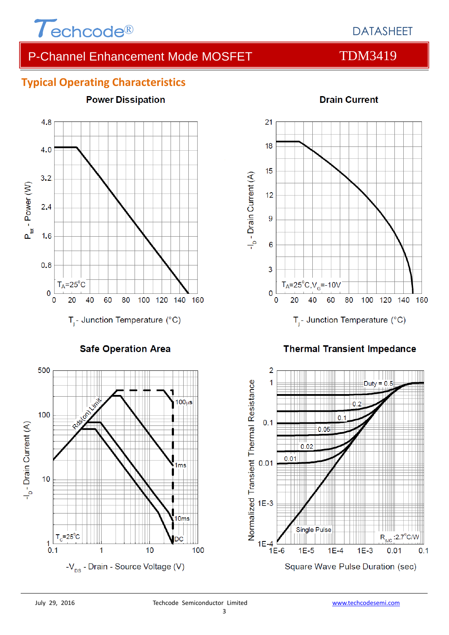

## DATASHEET

# P-Channel Enhancement Mode MOSFET TDM3419

### **Typical Operating Characteristics**



**Safe Operation Area** 





### **Thermal Transient Impedance**

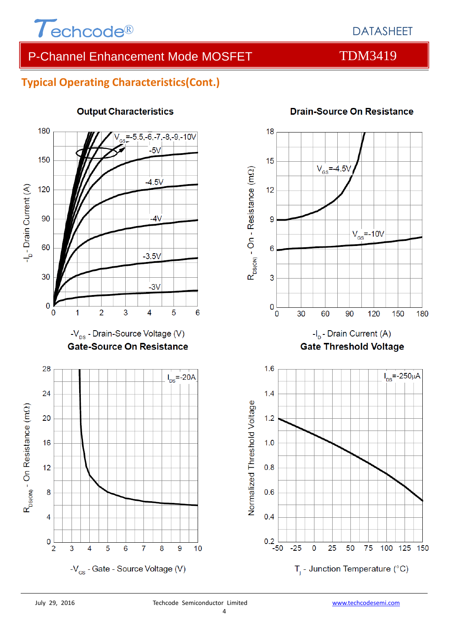

# P-Channel Enhancement Mode MOSFET TDM3419

### **Typical Operating Characteristics(Cont.)**



### **Output Characteristics**



### **Drain-Source On Resistance**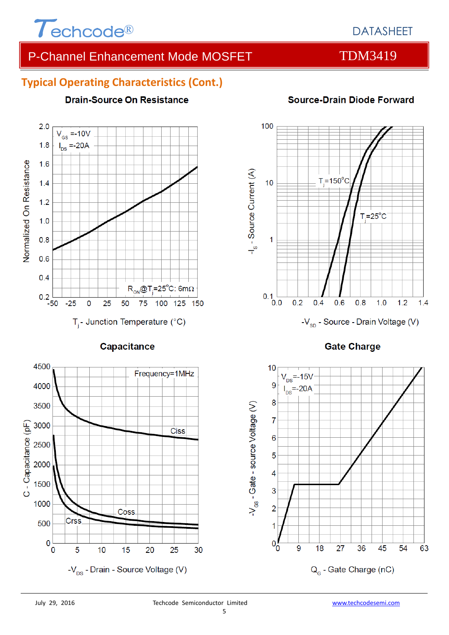

## DATASHEET

# P-Channel Enhancement Mode MOSFET TDM3419

### **Typical Operating Characteristics (Cont.)**

**Drain-Source On Resistance** 

### $2.0$  $V_{\text{GS}} = -10V$  $I_{DS} = -20A$  $1.8$ Normalized On Resistance  $1.6$  $1.4$  $1.2$  $1.0$  $0.8$  $0.6$  $0.4$  $R_{ON}$ @T<sub>i</sub>=25°C: 6m $\Omega$  $0.2\overline{$ -50  $-25$  $\mathbf 0$ 25 50 75 100 125 150  $T_i$ - Junction Temperature (°C)

Capacitance



# **Source-Drain Diode Forward**



**Gate Charge** 

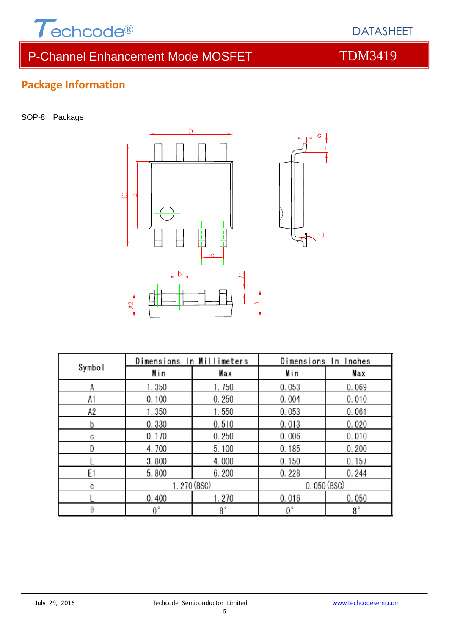

# P-Channel Enhancement Mode MOSFET TOM3419

# **Package Information**

SOP-8 Package



| Symbol | Dimensions In Millimeters |             | Dimensions In Inches |           |  |
|--------|---------------------------|-------------|----------------------|-----------|--|
|        | Min                       | Max         | Min                  | Max       |  |
| А      | 1.350                     | 1.750       | 0.053                | 0.069     |  |
| A1     | 0.100                     | 0.250       | 0.004                | 0.010     |  |
| А2     | 1.350                     | 1.550       | 0.053                | 0.061     |  |
| b      | 0.330                     | 0.510       | 0.013                | 0.020     |  |
| C      | 0.170                     | 0.250       | 0.006                | 0.010     |  |
| D      | 4.700                     | 5.100       | 0.185                | 0.200     |  |
|        | 3.800                     | 4.000       | 0.150                | 0.157     |  |
| E1     | 5.800                     | 6.200       | 0.228                | 0.244     |  |
| e      | 1.270 (BSC)               |             | 0.050(BSC)           |           |  |
|        | 0.400                     | 1.270       | 0.016                | 0.050     |  |
| θ      | $0^{\circ}$               | $8^{\circ}$ | 0°                   | $8^\circ$ |  |